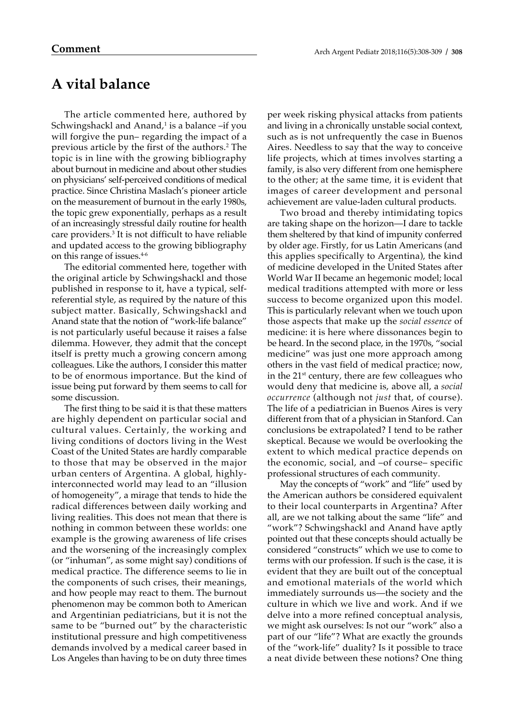## **A vital balance**

The article commented here, authored by Schwingshackl and Anand,<sup>1</sup> is a balance –if you will forgive the pun– regarding the impact of a previous article by the first of the authors.2 The topic is in line with the growing bibliography about burnout in medicine and about other studies on physicians' self-perceived conditions of medical practice. Since Christina Maslach's pioneer article on the measurement of burnout in the early 1980s, the topic grew exponentially, perhaps as a result of an increasingly stressful daily routine for health care providers.3 It is not difficult to have reliable and updated access to the growing bibliography on this range of issues.4-6

The editorial commented here, together with the original article by Schwingshackl and those published in response to it, have a typical, selfreferential style, as required by the nature of this subject matter. Basically, Schwingshackl and Anand state that the notion of "work-life balance" is not particularly useful because it raises a false dilemma. However, they admit that the concept itself is pretty much a growing concern among colleagues. Like the authors, I consider this matter to be of enormous importance. But the kind of issue being put forward by them seems to call for some discussion.

The first thing to be said it is that these matters are highly dependent on particular social and cultural values. Certainly, the working and living conditions of doctors living in the West Coast of the United States are hardly comparable to those that may be observed in the major urban centers of Argentina. A global, highlyinterconnected world may lead to an "illusion of homogeneity", a mirage that tends to hide the radical differences between daily working and living realities. This does not mean that there is nothing in common between these worlds: one example is the growing awareness of life crises and the worsening of the increasingly complex (or "inhuman", as some might say) conditions of medical practice. The difference seems to lie in the components of such crises, their meanings, and how people may react to them. The burnout phenomenon may be common both to American and Argentinian pediatricians, but it is not the same to be "burned out" by the characteristic institutional pressure and high competitiveness demands involved by a medical career based in Los Angeles than having to be on duty three times

per week risking physical attacks from patients and living in a chronically unstable social context, such as is not unfrequently the case in Buenos Aires. Needless to say that the way to conceive life projects, which at times involves starting a family, is also very different from one hemisphere to the other; at the same time, it is evident that images of career development and personal achievement are value-laden cultural products.

Two broad and thereby intimidating topics are taking shape on the horizon—I dare to tackle them sheltered by that kind of impunity conferred by older age. Firstly, for us Latin Americans (and this applies specifically to Argentina), the kind of medicine developed in the United States after World War II became an hegemonic model; local medical traditions attempted with more or less success to become organized upon this model. This is particularly relevant when we touch upon those aspects that make up the *social essence* of medicine: it is here where dissonances begin to be heard. In the second place, in the 1970s, "social medicine" was just one more approach among others in the vast field of medical practice; now, in the  $21<sup>st</sup>$  century, there are few colleagues who would deny that medicine is, above all, a *social occurrence* (although not *just* that, of course). The life of a pediatrician in Buenos Aires is very different from that of a physician in Stanford. Can conclusions be extrapolated? I tend to be rather skeptical. Because we would be overlooking the extent to which medical practice depends on the economic, social, and –of course– specific professional structures of each community.

May the concepts of "work" and "life" used by the American authors be considered equivalent to their local counterparts in Argentina? After all, are we not talking about the same "life" and "work"? Schwingshackl and Anand have aptly pointed out that these concepts should actually be considered "constructs" which we use to come to terms with our profession. If such is the case, it is evident that they are built out of the conceptual and emotional materials of the world which immediately surrounds us—the society and the culture in which we live and work. And if we delve into a more refined conceptual analysis, we might ask ourselves: Is not our "work" also a part of our "life"? What are exactly the grounds of the "work-life" duality? Is it possible to trace a neat divide between these notions? One thing